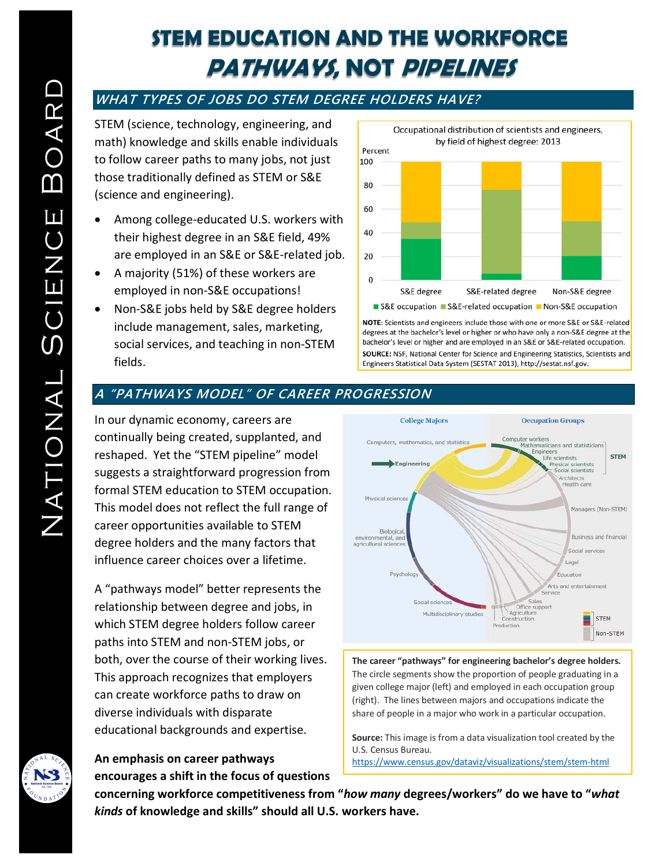## **STEM EDUCATION AND THE WORKFORCE PATHWAYS, NOT PIPELINES**

## **WHAT TYPES OF JOBS DO STEM DEGREE HOLDERS HAVE?**

STEM (science, technology, engineering, and math) knowledge and skills enable individuals to follow career paths to many jobs, not just those traditionally defined as STEM or S&E (science and engineering).

- Among college-educated U.S. workers with their highest degree in an S&E field, 49% are employed in an S&E or S&E-related job.
- A majority (51%) of these workers are employed in non-S&E occupations!
- Non-S&E jobs held by S&E degree holders include management, sales, marketing, social services, and teaching in non-STEM fields.



NOTE: Scientists and engineers include those with one or more S&E or S&E-related degrees at the bachelor's level or higher or who have only a non-S&E degree at the bachelor's level or higher and are employed in an S&E or S&E-related occupation. SOURCE: NSF, National Center for Science and Engineering Statistics, Scientists and Engineers Statistical Data System (SESTAT 2013), http://sestat.nsf.gov.

## **A "PATHWAYS MODEL" OF CAREER PROGRESSION**

In our dynamic economy, careers are continually being created, supplanted, and reshaped. Yet the "STEM pipeline" model suggests a straightforward progression from formal STEM education to STEM occupation. This model does not reflect the full range of career opportunities available to STEM degree holders and the many factors that influence career choices over a lifetime.

A "pathways model" better represents the relationship between degree and jobs, in which STEM degree holders follow career paths into STEM and non-STEM jobs, or both, over the course of their working lives. This approach recognizes that employers can create workforce paths to draw on diverse individuals with disparate educational backgrounds and expertise.

# **An emphasis on career pathways encourages a shift in the focus of questions**



**The career "pathways" for engineering bachelor's degree holders.** [The circle segments show the proportion of people graduating in a](https://www.census.gov/dataviz/visualizations/stem/stem-html)  given college major (left) and employed in each occupation group (right). The lines between majors and occupations indicate the share of people in a major who work in a particular occupation.

**Source:** This image is from a data visualization tool created by the U.S. Census Bureau. <https://www.census.gov/dataviz/visualizations/stem/stem-html>

**concerning workforce competitiveness from "***how many* **degrees/workers" do we have to "***what kinds* **of knowledge and skills" should all U.S. workers have.**